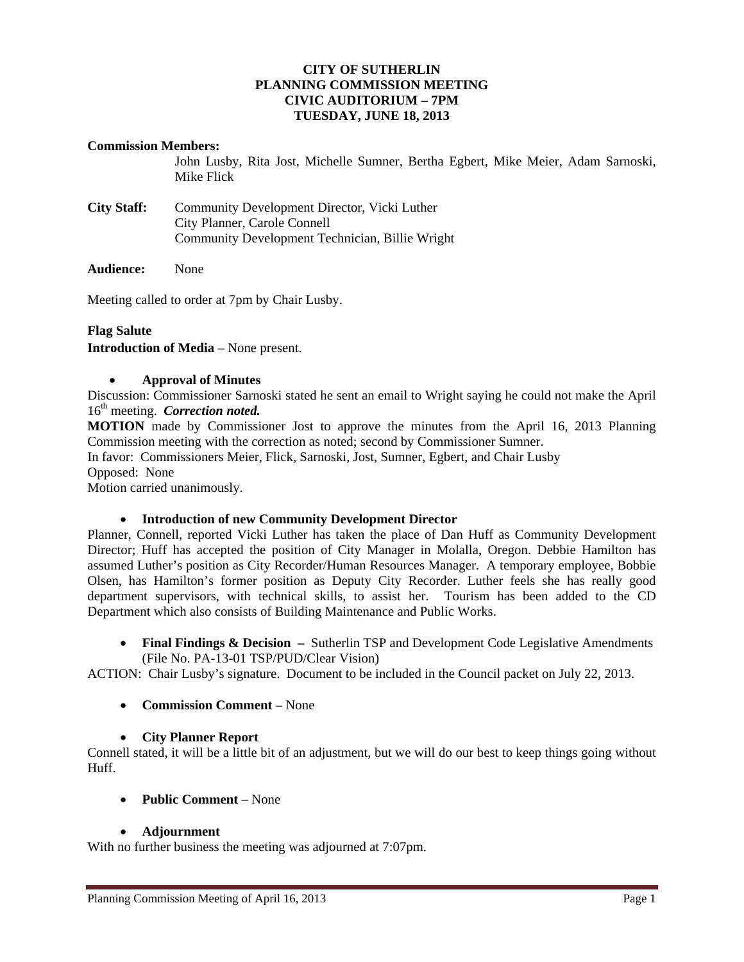## **CITY OF SUTHERLIN PLANNING COMMISSION MEETING CIVIC AUDITORIUM – 7PM TUESDAY, JUNE 18, 2013**

#### **Commission Members:**

John Lusby, Rita Jost, Michelle Sumner, Bertha Egbert, Mike Meier, Adam Sarnoski, Mike Flick

- **City Staff:** Community Development Director, Vicki Luther City Planner, Carole Connell Community Development Technician, Billie Wright
- **Audience:** None

Meeting called to order at 7pm by Chair Lusby.

# **Flag Salute**

**Introduction of Media** – None present.

#### **Approval of Minutes**

Discussion: Commissioner Sarnoski stated he sent an email to Wright saying he could not make the April 16<sup>th</sup> meeting. *Correction noted*.

**MOTION** made by Commissioner Jost to approve the minutes from the April 16, 2013 Planning Commission meeting with the correction as noted; second by Commissioner Sumner.

In favor: Commissioners Meier, Flick, Sarnoski, Jost, Sumner, Egbert, and Chair Lusby

Opposed:None

Motion carried unanimously.

## **Introduction of new Community Development Director**

Planner, Connell, reported Vicki Luther has taken the place of Dan Huff as Community Development Director; Huff has accepted the position of City Manager in Molalla, Oregon. Debbie Hamilton has assumed Luther's position as City Recorder/Human Resources Manager. A temporary employee, Bobbie Olsen, has Hamilton's former position as Deputy City Recorder. Luther feels she has really good department supervisors, with technical skills, to assist her. Tourism has been added to the CD Department which also consists of Building Maintenance and Public Works.

• Final Findings & Decision – Sutherlin TSP and Development Code Legislative Amendments (File No. PA-13-01 TSP/PUD/Clear Vision)

ACTION: Chair Lusby's signature. Document to be included in the Council packet on July 22, 2013.

**Commission Comment** – None

## **City Planner Report**

Connell stated, it will be a little bit of an adjustment, but we will do our best to keep things going without Huff.

**Public Comment** – None

## **Adjournment**

With no further business the meeting was adjourned at 7:07pm.